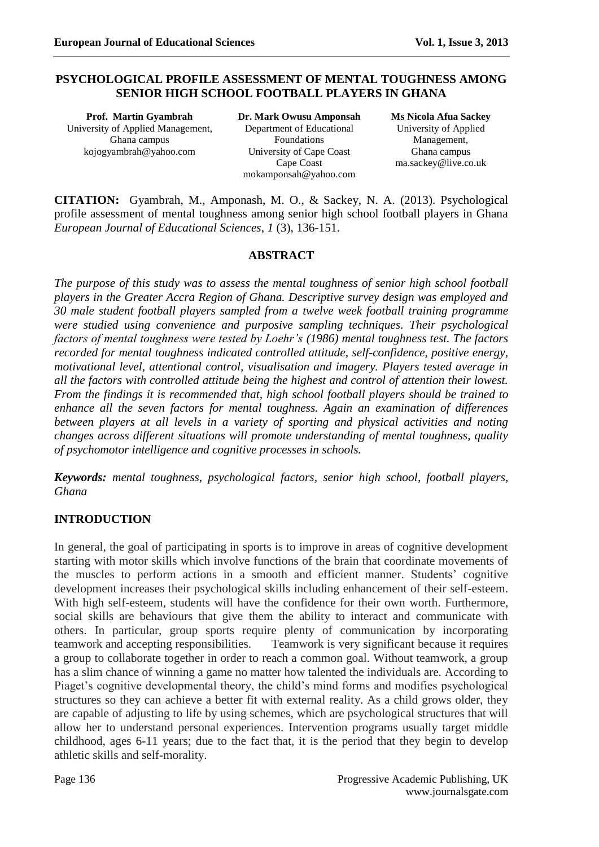### **PSYCHOLOGICAL PROFILE ASSESSMENT OF MENTAL TOUGHNESS AMONG SENIOR HIGH SCHOOL FOOTBALL PLAYERS IN GHANA**

**Prof. Martin Gyambrah** University of Applied Management, Ghana campus [kojogyambrah@yahoo.com](mailto:kojogyambrah@yahoo.com)

**Dr. Mark Owusu Amponsah** Department of Educational Foundations University of Cape Coast Cape Coast [mokamponsah@yahoo.com](mailto:mokamponsah@yahoo.com)

**Ms Nicola Afua Sackey** University of Applied Management, Ghana campus [ma.sackey@live.co.uk](mailto:ma.sackey@live.co.uk)

**CITATION:** Gyambrah, M., Amponash, M. O., & Sackey, N. A. (2013). Psychological profile assessment of mental toughness among senior high school football players in Ghana *European Journal of Educational Sciences*, *1* (3), 136-151.

#### **ABSTRACT**

*The purpose of this study was to assess the mental toughness of senior high school football players in the Greater Accra Region of Ghana. Descriptive survey design was employed and 30 male student football players sampled from a twelve week football training programme were studied using convenience and purposive sampling techniques. Their psychological factors of mental toughness were tested by Loehr's (1986) mental toughness test. The factors recorded for mental toughness indicated controlled attitude, self-confidence, positive energy, motivational level, attentional control, visualisation and imagery. Players tested average in all the factors with controlled attitude being the highest and control of attention their lowest. From the findings it is recommended that, high school football players should be trained to enhance all the seven factors for mental toughness. Again an examination of differences between players at all levels in a variety of sporting and physical activities and noting changes across different situations will promote understanding of mental toughness, quality of psychomotor intelligence and cognitive processes in schools.*

*Keywords: mental toughness, psychological factors, senior high school, football players, Ghana*

# **INTRODUCTION**

In general, the goal of participating in sports is to improve in areas of cognitive development starting with motor skills which involve functions of the brain that coordinate movements of the muscles to perform actions in a smooth and efficient manner. Students' cognitive development increases their psychological skills including enhancement of their self-esteem. With high self-esteem, students will have the confidence for their own worth. Furthermore, social skills are behaviours that give them the ability to interact and communicate with others. In particular, group sports require plenty of communication by incorporating teamwork and accepting responsibilities. Teamwork is very significant because it requires a group to collaborate together in order to reach a common goal. Without teamwork, a group has a slim chance of winning a game no matter how talented the individuals are. According to Piaget's cognitive developmental theory, the child's mind forms and modifies psychological structures so they can achieve a better fit with external reality. As a child grows older, they are capable of adjusting to life by using schemes, which are psychological structures that will allow her to understand personal experiences. Intervention programs usually target middle childhood, ages 6-11 years; due to the fact that, it is the period that they begin to develop athletic skills and self-morality.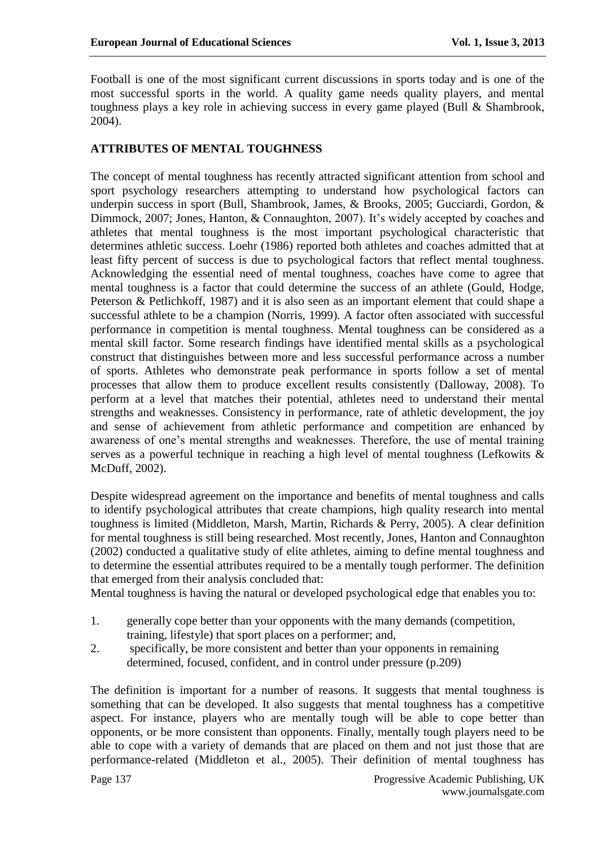Football is one of the most significant current discussions in sports today and is one of the most successful sports in the world. A quality game needs quality players, and mental toughness plays a key role in achieving success in every game played (Bull & Shambrook, 2004).

#### **ATTRIBUTES OF MENTAL TOUGHNESS**

The concept of mental toughness has recently attracted significant attention from school and sport psychology researchers attempting to understand how psychological factors can underpin success in sport (Bull, Shambrook, James, & Brooks, 2005; Gucciardi, Gordon, & Dimmock, 2007; Jones, Hanton, & Connaughton, 2007). It's widely accepted by coaches and athletes that mental toughness is the most important psychological characteristic that determines athletic success. Loehr (1986) reported both athletes and coaches admitted that at least fifty percent of success is due to psychological factors that reflect mental toughness. Acknowledging the essential need of mental toughness, coaches have come to agree that mental toughness is a factor that could determine the success of an athlete (Gould, Hodge, Peterson & Petlichkoff, 1987) and it is also seen as an important element that could shape a successful athlete to be a champion (Norris, 1999). A factor often associated with successful performance in competition is mental toughness. Mental toughness can be considered as a mental skill factor. Some research findings have identified mental skills as a psychological construct that distinguishes between more and less successful performance across a number of sports. Athletes who demonstrate peak performance in sports follow a set of mental processes that allow them to produce excellent results consistently (Dalloway, 2008). To perform at a level that matches their potential, athletes need to understand their mental strengths and weaknesses. Consistency in performance, rate of athletic development, the joy and sense of achievement from athletic performance and competition are enhanced by awareness of one's mental strengths and weaknesses. Therefore, the use of mental training serves as a powerful technique in reaching a high level of mental toughness (Lefkowits & McDuff, 2002).

Despite widespread agreement on the importance and benefits of mental toughness and calls to identify psychological attributes that create champions, high quality research into mental toughness is limited (Middleton, Marsh, Martin, Richards & Perry, 2005). A clear definition for mental toughness is still being researched. Most recently, Jones, Hanton and Connaughton (2002) conducted a qualitative study of elite athletes, aiming to define mental toughness and to determine the essential attributes required to be a mentally tough performer. The definition that emerged from their analysis concluded that:

Mental toughness is having the natural or developed psychological edge that enables you to:

- 1. generally cope better than your opponents with the many demands (competition, training, lifestyle) that sport places on a performer; and,
- 2. specifically, be more consistent and better than your opponents in remaining determined, focused, confident, and in control under pressure (p.209)

The definition is important for a number of reasons. It suggests that mental toughness is something that can be developed. It also suggests that mental toughness has a competitive aspect. For instance, players who are mentally tough will be able to cope better than opponents, or be more consistent than opponents. Finally, mentally tough players need to be able to cope with a variety of demands that are placed on them and not just those that are performance-related (Middleton et al., 2005). Their definition of mental toughness has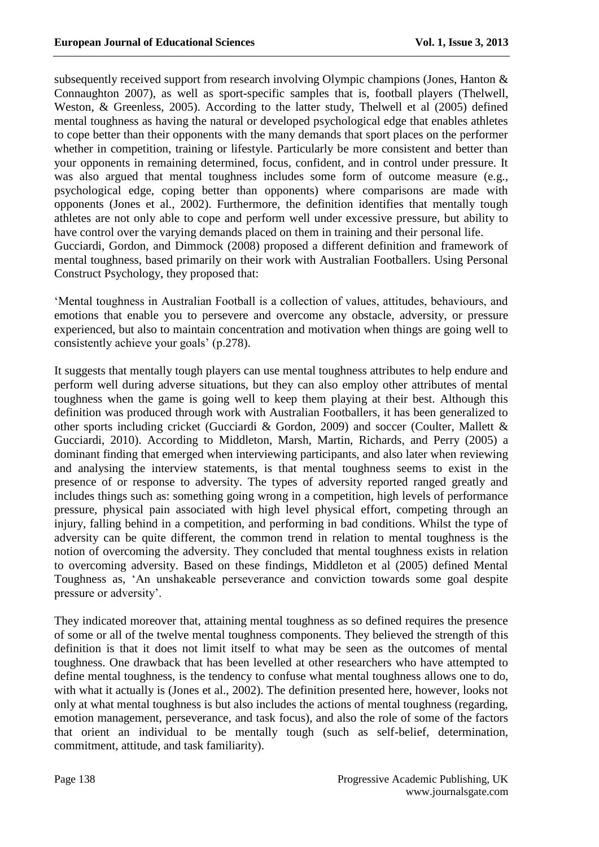subsequently received support from research involving Olympic champions (Jones, Hanton & Connaughton 2007), as well as sport-specific samples that is, football players (Thelwell, Weston, & Greenless, 2005). According to the latter study, Thelwell et al (2005) defined mental toughness as having the natural or developed psychological edge that enables athletes to cope better than their opponents with the many demands that sport places on the performer whether in competition, training or lifestyle. Particularly be more consistent and better than your opponents in remaining determined, focus, confident, and in control under pressure. It was also argued that mental toughness includes some form of outcome measure (e.g., psychological edge, coping better than opponents) where comparisons are made with opponents (Jones et al., 2002). Furthermore, the definition identifies that mentally tough athletes are not only able to cope and perform well under excessive pressure, but ability to have control over the varying demands placed on them in training and their personal life. Gucciardi, Gordon, and Dimmock (2008) proposed a different definition and framework of mental toughness, based primarily on their work with Australian Footballers. Using Personal Construct Psychology, they proposed that:

'Mental toughness in Australian Football is a collection of values, attitudes, behaviours, and emotions that enable you to persevere and overcome any obstacle, adversity, or pressure experienced, but also to maintain concentration and motivation when things are going well to consistently achieve your goals' (p.278).

It suggests that mentally tough players can use mental toughness attributes to help endure and perform well during adverse situations, but they can also employ other attributes of mental toughness when the game is going well to keep them playing at their best. Although this definition was produced through work with Australian Footballers, it has been generalized to other sports including cricket (Gucciardi & Gordon, 2009) and soccer (Coulter, Mallett & Gucciardi, 2010). According to Middleton, Marsh, Martin, Richards, and Perry (2005) a dominant finding that emerged when interviewing participants, and also later when reviewing and analysing the interview statements, is that mental toughness seems to exist in the presence of or response to adversity. The types of adversity reported ranged greatly and includes things such as: something going wrong in a competition, high levels of performance pressure, physical pain associated with high level physical effort, competing through an injury, falling behind in a competition, and performing in bad conditions. Whilst the type of adversity can be quite different, the common trend in relation to mental toughness is the notion of overcoming the adversity. They concluded that mental toughness exists in relation to overcoming adversity. Based on these findings, Middleton et al (2005) defined Mental Toughness as, 'An unshakeable perseverance and conviction towards some goal despite pressure or adversity'.

They indicated moreover that, attaining mental toughness as so defined requires the presence of some or all of the twelve mental toughness components. They believed the strength of this definition is that it does not limit itself to what may be seen as the outcomes of mental toughness. One drawback that has been levelled at other researchers who have attempted to define mental toughness, is the tendency to confuse what mental toughness allows one to do, with what it actually is (Jones et al., 2002). The definition presented here, however, looks not only at what mental toughness is but also includes the actions of mental toughness (regarding, emotion management, perseverance, and task focus), and also the role of some of the factors that orient an individual to be mentally tough (such as self-belief, determination, commitment, attitude, and task familiarity).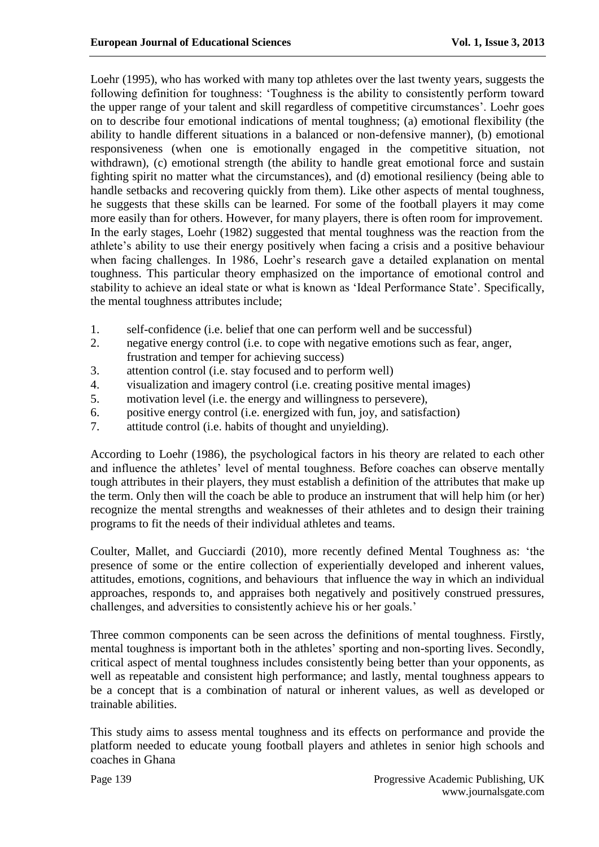Loehr (1995), who has worked with many top athletes over the last twenty years, suggests the following definition for toughness: 'Toughness is the ability to consistently perform toward the upper range of your talent and skill regardless of competitive circumstances'. Loehr goes on to describe four emotional indications of mental toughness; (a) emotional flexibility (the ability to handle different situations in a balanced or non-defensive manner), (b) emotional responsiveness (when one is emotionally engaged in the competitive situation, not withdrawn), (c) emotional strength (the ability to handle great emotional force and sustain fighting spirit no matter what the circumstances), and (d) emotional resiliency (being able to handle setbacks and recovering quickly from them). Like other aspects of mental toughness, he suggests that these skills can be learned. For some of the football players it may come more easily than for others. However, for many players, there is often room for improvement. In the early stages, Loehr (1982) suggested that mental toughness was the reaction from the athlete's ability to use their energy positively when facing a crisis and a positive behaviour when facing challenges. In 1986, Loehr's research gave a detailed explanation on mental toughness. This particular theory emphasized on the importance of emotional control and stability to achieve an ideal state or what is known as 'Ideal Performance State'. Specifically, the mental toughness attributes include;

- 1. self-confidence (i.e. belief that one can perform well and be successful)
- 2. negative energy control (i.e. to cope with negative emotions such as fear, anger, frustration and temper for achieving success)
- 3. attention control (i.e. stay focused and to perform well)
- 4. visualization and imagery control (i.e. creating positive mental images)
- 5. motivation level (i.e. the energy and willingness to persevere),
- 6. positive energy control (i.e. energized with fun, joy, and satisfaction)
- 7. attitude control (i.e. habits of thought and unyielding).

According to Loehr (1986), the psychological factors in his theory are related to each other and influence the athletes' level of mental toughness. Before coaches can observe mentally tough attributes in their players, they must establish a definition of the attributes that make up the term. Only then will the coach be able to produce an instrument that will help him (or her) recognize the mental strengths and weaknesses of their athletes and to design their training programs to fit the needs of their individual athletes and teams.

Coulter, Mallet, and Gucciardi (2010), more recently defined Mental Toughness as: 'the presence of some or the entire collection of experientially developed and inherent values, attitudes, emotions, cognitions, and behaviours that influence the way in which an individual approaches, responds to, and appraises both negatively and positively construed pressures, challenges, and adversities to consistently achieve his or her goals.'

Three common components can be seen across the definitions of mental toughness. Firstly, mental toughness is important both in the athletes' sporting and non-sporting lives. Secondly, critical aspect of mental toughness includes consistently being better than your opponents, as well as repeatable and consistent high performance; and lastly, mental toughness appears to be a concept that is a combination of natural or inherent values, as well as developed or trainable abilities.

This study aims to assess mental toughness and its effects on performance and provide the platform needed to educate young football players and athletes in senior high schools and coaches in Ghana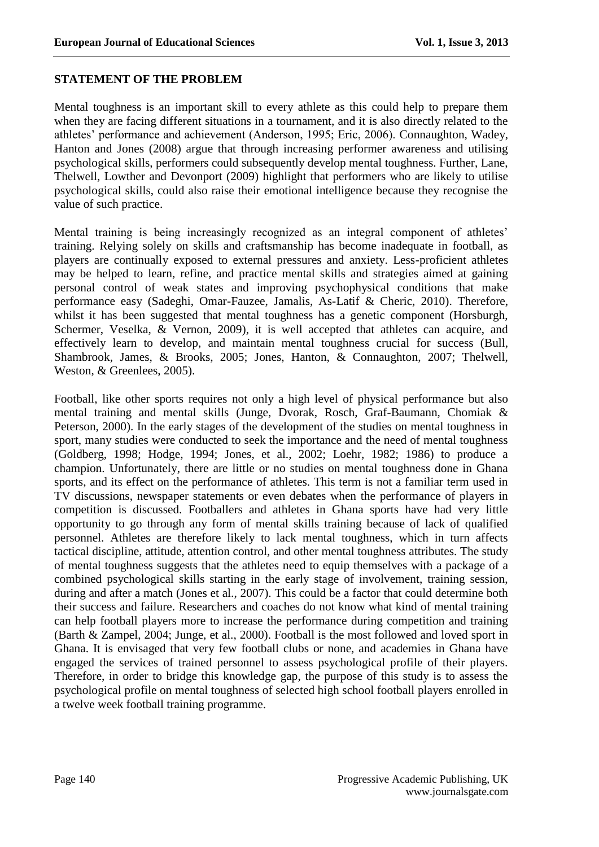#### **STATEMENT OF THE PROBLEM**

Mental toughness is an important skill to every athlete as this could help to prepare them when they are facing different situations in a tournament, and it is also directly related to the athletes' performance and achievement (Anderson, 1995; Eric, 2006). Connaughton, Wadey, Hanton and Jones (2008) argue that through increasing performer awareness and utilising psychological skills, performers could subsequently develop mental toughness. Further, Lane, Thelwell, Lowther and Devonport (2009) highlight that performers who are likely to utilise psychological skills, could also raise their emotional intelligence because they recognise the value of such practice.

Mental training is being increasingly recognized as an integral component of athletes' training. Relying solely on skills and craftsmanship has become inadequate in football, as players are continually exposed to external pressures and anxiety. Less-proficient athletes may be helped to learn, refine, and practice mental skills and strategies aimed at gaining personal control of weak states and improving psychophysical conditions that make performance easy (Sadeghi, Omar-Fauzee, Jamalis, As-Latif & Cheric, 2010). Therefore, whilst it has been suggested that mental toughness has a genetic component (Horsburgh, Schermer, Veselka, & Vernon, 2009), it is well accepted that athletes can acquire, and effectively learn to develop, and maintain mental toughness crucial for success (Bull, Shambrook, James, & Brooks, 2005; Jones, Hanton, & Connaughton, 2007; Thelwell, Weston, & Greenlees, 2005).

Football, like other sports requires not only a high level of physical performance but also mental training and mental skills (Junge, Dvorak, Rosch, Graf-Baumann, Chomiak & Peterson, 2000). In the early stages of the development of the studies on mental toughness in sport, many studies were conducted to seek the importance and the need of mental toughness (Goldberg, 1998; Hodge, 1994; Jones, et al., 2002; Loehr, 1982; 1986) to produce a champion. Unfortunately, there are little or no studies on mental toughness done in Ghana sports, and its effect on the performance of athletes. This term is not a familiar term used in TV discussions, newspaper statements or even debates when the performance of players in competition is discussed. Footballers and athletes in Ghana sports have had very little opportunity to go through any form of mental skills training because of lack of qualified personnel. Athletes are therefore likely to lack mental toughness, which in turn affects tactical discipline, attitude, attention control, and other mental toughness attributes. The study of mental toughness suggests that the athletes need to equip themselves with a package of a combined psychological skills starting in the early stage of involvement, training session, during and after a match (Jones et al., 2007). This could be a factor that could determine both their success and failure. Researchers and coaches do not know what kind of mental training can help football players more to increase the performance during competition and training (Barth & Zampel, 2004; Junge, et al., 2000). Football is the most followed and loved sport in Ghana. It is envisaged that very few football clubs or none, and academies in Ghana have engaged the services of trained personnel to assess psychological profile of their players. Therefore, in order to bridge this knowledge gap, the purpose of this study is to assess the psychological profile on mental toughness of selected high school football players enrolled in a twelve week football training programme.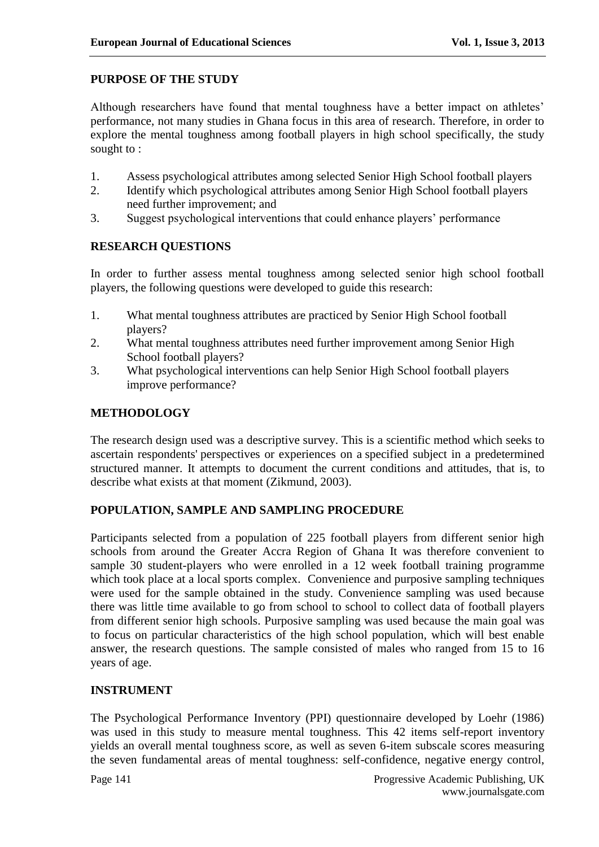### **PURPOSE OF THE STUDY**

Although researchers have found that mental toughness have a better impact on athletes' performance, not many studies in Ghana focus in this area of research. Therefore, in order to explore the mental toughness among football players in high school specifically, the study sought to :

- 1. Assess psychological attributes among selected Senior High School football players
- 2. Identify which psychological attributes among Senior High School football players need further improvement; and
- 3. Suggest psychological interventions that could enhance players' performance

### **RESEARCH QUESTIONS**

In order to further assess mental toughness among selected senior high school football players, the following questions were developed to guide this research:

- 1. What mental toughness attributes are practiced by Senior High School football players?
- 2. What mental toughness attributes need further improvement among Senior High School football players?
- 3. What psychological interventions can help Senior High School football players improve performance?

### **METHODOLOGY**

The research design used was a descriptive survey. This is a scientific method which seeks to ascertain respondents' perspectives or experiences on a specified subject in a predetermined structured manner. It attempts to document the current conditions and attitudes, that is, to describe what exists at that moment (Zikmund, 2003).

# **POPULATION, SAMPLE AND SAMPLING PROCEDURE**

Participants selected from a population of 225 football players from different senior high schools from around the Greater Accra Region of Ghana It was therefore convenient to sample 30 student-players who were enrolled in a 12 week football training programme which took place at a local sports complex. Convenience and purposive sampling techniques were used for the sample obtained in the study. Convenience sampling was used because there was little time available to go from school to school to collect data of football players from different senior high schools. Purposive sampling was used because the main goal was to focus on particular characteristics of the high school population, which will best enable answer, the research questions. The sample consisted of males who ranged from 15 to 16 years of age.

### **INSTRUMENT**

The Psychological Performance Inventory (PPI) questionnaire developed by Loehr (1986) was used in this study to measure mental toughness. This 42 items self-report inventory yields an overall mental toughness score, as well as seven 6-item subscale scores measuring the seven fundamental areas of mental toughness: self-confidence, negative energy control,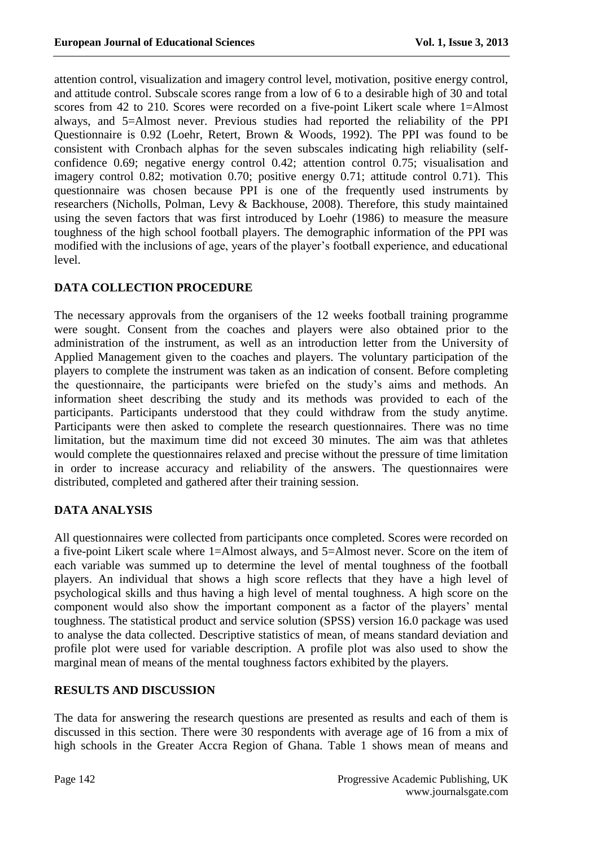attention control, visualization and imagery control level, motivation, positive energy control, and attitude control. Subscale scores range from a low of 6 to a desirable high of 30 and total scores from 42 to 210. Scores were recorded on a five-point Likert scale where 1=Almost always, and 5=Almost never. Previous studies had reported the reliability of the PPI Questionnaire is 0.92 (Loehr, Retert, Brown & Woods, 1992). The PPI was found to be consistent with Cronbach alphas for the seven subscales indicating high reliability (selfconfidence 0.69; negative energy control 0.42; attention control 0.75; visualisation and imagery control 0.82; motivation 0.70; positive energy 0.71; attitude control 0.71). This questionnaire was chosen because PPI is one of the frequently used instruments by researchers (Nicholls, Polman, Levy & Backhouse, 2008). Therefore, this study maintained using the seven factors that was first introduced by Loehr (1986) to measure the measure toughness of the high school football players. The demographic information of the PPI was modified with the inclusions of age, years of the player's football experience, and educational level.

# **DATA COLLECTION PROCEDURE**

The necessary approvals from the organisers of the 12 weeks football training programme were sought. Consent from the coaches and players were also obtained prior to the administration of the instrument, as well as an introduction letter from the University of Applied Management given to the coaches and players. The voluntary participation of the players to complete the instrument was taken as an indication of consent. Before completing the questionnaire, the participants were briefed on the study's aims and methods. An information sheet describing the study and its methods was provided to each of the participants. Participants understood that they could withdraw from the study anytime. Participants were then asked to complete the research questionnaires. There was no time limitation, but the maximum time did not exceed 30 minutes. The aim was that athletes would complete the questionnaires relaxed and precise without the pressure of time limitation in order to increase accuracy and reliability of the answers. The questionnaires were distributed, completed and gathered after their training session.

# **DATA ANALYSIS**

All questionnaires were collected from participants once completed. Scores were recorded on a five-point Likert scale where 1=Almost always, and 5=Almost never. Score on the item of each variable was summed up to determine the level of mental toughness of the football players. An individual that shows a high score reflects that they have a high level of psychological skills and thus having a high level of mental toughness. A high score on the component would also show the important component as a factor of the players' mental toughness. The statistical product and service solution (SPSS) version 16.0 package was used to analyse the data collected. Descriptive statistics of mean, of means standard deviation and profile plot were used for variable description. A profile plot was also used to show the marginal mean of means of the mental toughness factors exhibited by the players.

# **RESULTS AND DISCUSSION**

The data for answering the research questions are presented as results and each of them is discussed in this section. There were 30 respondents with average age of 16 from a mix of high schools in the Greater Accra Region of Ghana. Table 1 shows mean of means and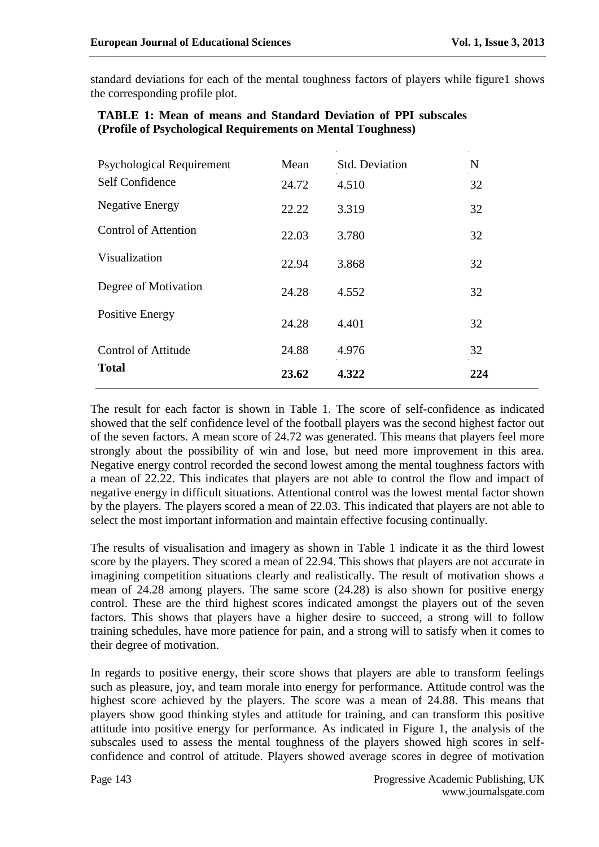standard deviations for each of the mental toughness factors of players while figure1 shows the corresponding profile plot.

| <b>Psychological Requirement</b>           | Mean  | Std. Deviation | $\mathbf N$ |
|--------------------------------------------|-------|----------------|-------------|
| Self Confidence                            | 24.72 | 4.510          | 32          |
| <b>Negative Energy</b>                     | 22.22 | 3.319          | 32          |
| <b>Control of Attention</b>                | 22.03 | 3.780          | 32          |
| Visualization                              | 22.94 | 3.868          | 32          |
| Degree of Motivation                       | 24.28 | 4.552          | 32          |
| Positive Energy                            | 24.28 | 4.401          | 32          |
| <b>Control of Attitude</b><br><b>Total</b> | 24.88 | 4.976          | 32          |
|                                            | 23.62 | 4.322          | 224         |

### **TABLE 1: Mean of means and Standard Deviation of PPI subscales (Profile of Psychological Requirements on Mental Toughness)**

The result for each factor is shown in Table 1. The score of self-confidence as indicated showed that the self confidence level of the football players was the second highest factor out of the seven factors. A mean score of 24.72 was generated. This means that players feel more strongly about the possibility of win and lose, but need more improvement in this area. Negative energy control recorded the second lowest among the mental toughness factors with a mean of 22.22. This indicates that players are not able to control the flow and impact of negative energy in difficult situations. Attentional control was the lowest mental factor shown by the players. The players scored a mean of 22.03. This indicated that players are not able to select the most important information and maintain effective focusing continually.

The results of visualisation and imagery as shown in Table 1 indicate it as the third lowest score by the players. They scored a mean of 22.94. This shows that players are not accurate in imagining competition situations clearly and realistically. The result of motivation shows a mean of 24.28 among players. The same score (24.28) is also shown for positive energy control. These are the third highest scores indicated amongst the players out of the seven factors. This shows that players have a higher desire to succeed, a strong will to follow training schedules, have more patience for pain, and a strong will to satisfy when it comes to their degree of motivation.

In regards to positive energy, their score shows that players are able to transform feelings such as pleasure, joy, and team morale into energy for performance. Attitude control was the highest score achieved by the players. The score was a mean of 24.88. This means that players show good thinking styles and attitude for training, and can transform this positive attitude into positive energy for performance. As indicated in Figure 1, the analysis of the subscales used to assess the mental toughness of the players showed high scores in selfconfidence and control of attitude. Players showed average scores in degree of motivation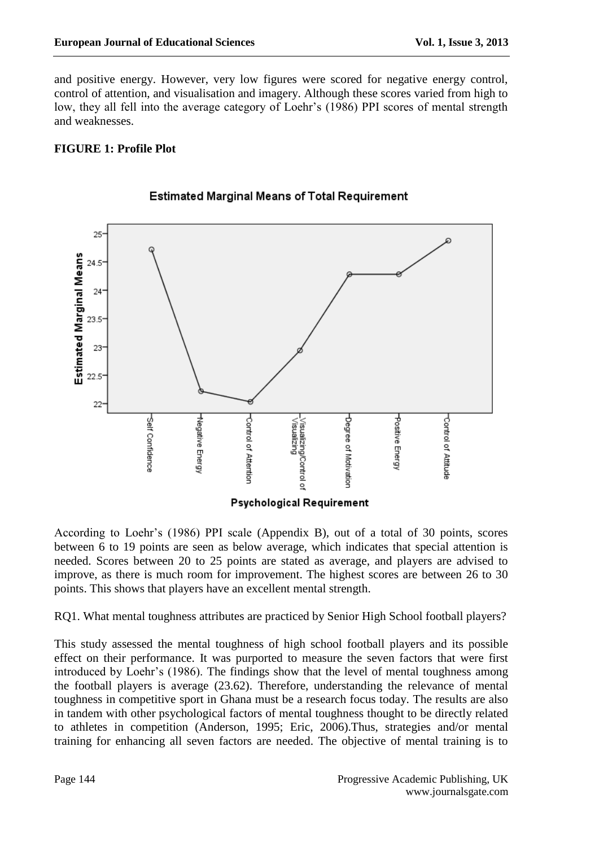and positive energy. However, very low figures were scored for negative energy control, control of attention, and visualisation and imagery. Although these scores varied from high to low, they all fell into the average category of Loehr's (1986) PPI scores of mental strength and weaknesses.

# **FIGURE 1: Profile Plot**



### **Estimated Marginal Means of Total Requirement**

According to Loehr's (1986) PPI scale (Appendix B), out of a total of 30 points, scores between 6 to 19 points are seen as below average, which indicates that special attention is needed. Scores between 20 to 25 points are stated as average, and players are advised to improve, as there is much room for improvement. The highest scores are between 26 to 30 points. This shows that players have an excellent mental strength.

RQ1. What mental toughness attributes are practiced by Senior High School football players?

This study assessed the mental toughness of high school football players and its possible effect on their performance. It was purported to measure the seven factors that were first introduced by Loehr's (1986). The findings show that the level of mental toughness among the football players is average (23.62). Therefore, understanding the relevance of mental toughness in competitive sport in Ghana must be a research focus today. The results are also in tandem with other psychological factors of mental toughness thought to be directly related to athletes in competition (Anderson, 1995; Eric, 2006).Thus, strategies and/or mental training for enhancing all seven factors are needed. The objective of mental training is to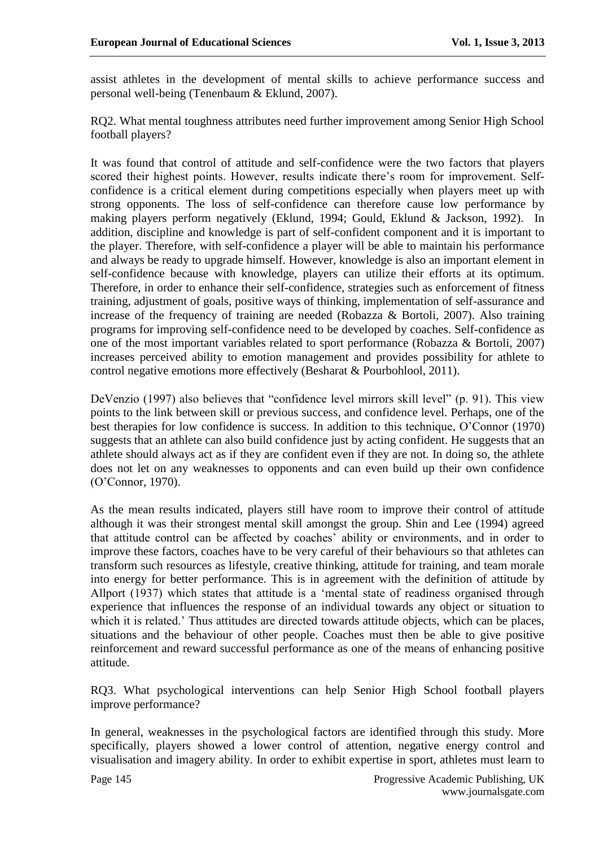assist athletes in the development of mental skills to achieve performance success and personal well-being (Tenenbaum & Eklund, 2007).

RQ2. What mental toughness attributes need further improvement among Senior High School football players?

It was found that control of attitude and self-confidence were the two factors that players scored their highest points. However, results indicate there's room for improvement. Selfconfidence is a critical element during competitions especially when players meet up with strong opponents. The loss of self-confidence can therefore cause low performance by making players perform negatively (Eklund, 1994; Gould, Eklund & Jackson, 1992). In addition, discipline and knowledge is part of self-confident component and it is important to the player. Therefore, with self-confidence a player will be able to maintain his performance and always be ready to upgrade himself. However, knowledge is also an important element in self-confidence because with knowledge, players can utilize their efforts at its optimum. Therefore, in order to enhance their self-confidence, strategies such as enforcement of fitness training, adjustment of goals, positive ways of thinking, implementation of self-assurance and increase of the frequency of training are needed (Robazza & Bortoli, 2007). Also training programs for improving self-confidence need to be developed by coaches. Self-confidence as one of the most important variables related to sport performance (Robazza & Bortoli, 2007) increases perceived ability to emotion management and provides possibility for athlete to control negative emotions more effectively (Besharat & Pourbohlool, 2011).

DeVenzio (1997) also believes that "confidence level mirrors skill level" (p. 91). This view points to the link between skill or previous success, and confidence level. Perhaps, one of the best therapies for low confidence is success. In addition to this technique, O'Connor (1970) suggests that an athlete can also build confidence just by acting confident. He suggests that an athlete should always act as if they are confident even if they are not. In doing so, the athlete does not let on any weaknesses to opponents and can even build up their own confidence (O'Connor, 1970).

As the mean results indicated, players still have room to improve their control of attitude although it was their strongest mental skill amongst the group. Shin and Lee (1994) agreed that attitude control can be affected by coaches' ability or environments, and in order to improve these factors, coaches have to be very careful of their behaviours so that athletes can transform such resources as lifestyle, creative thinking, attitude for training, and team morale into energy for better performance. This is in agreement with the definition of attitude by Allport (1937) which states that attitude is a 'mental state of readiness organised through experience that influences the response of an individual towards any object or situation to which it is related.' Thus attitudes are directed towards attitude objects, which can be places, situations and the behaviour of other people. Coaches must then be able to give positive reinforcement and reward successful performance as one of the means of enhancing positive attitude.

RQ3. What psychological interventions can help Senior High School football players improve performance?

In general, weaknesses in the psychological factors are identified through this study. More specifically, players showed a lower control of attention, negative energy control and visualisation and imagery ability. In order to exhibit expertise in sport, athletes must learn to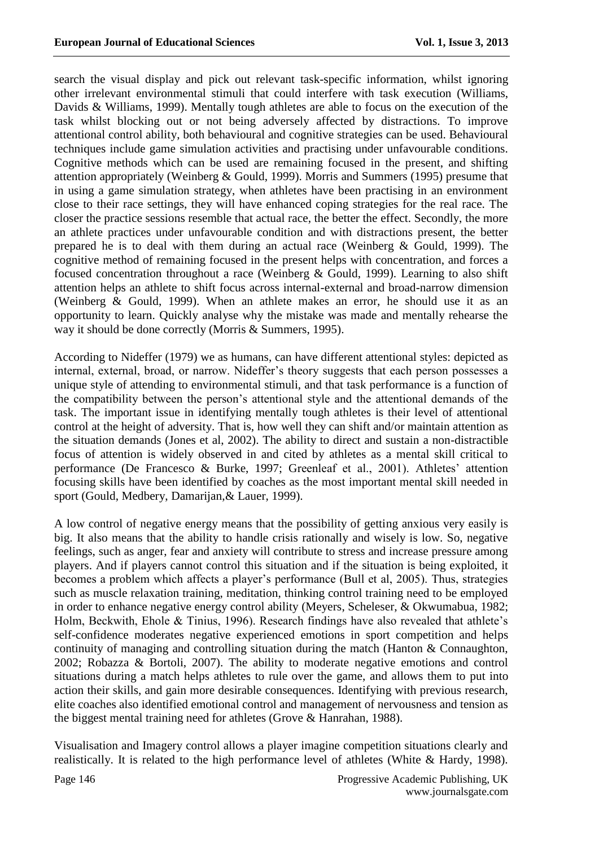search the visual display and pick out relevant task-specific information, whilst ignoring other irrelevant environmental stimuli that could interfere with task execution (Williams, Davids & Williams, 1999). Mentally tough athletes are able to focus on the execution of the task whilst blocking out or not being adversely affected by distractions. To improve attentional control ability, both behavioural and cognitive strategies can be used. Behavioural techniques include game simulation activities and practising under unfavourable conditions. Cognitive methods which can be used are remaining focused in the present, and shifting attention appropriately (Weinberg & Gould, 1999). Morris and Summers (1995) presume that in using a game simulation strategy, when athletes have been practising in an environment close to their race settings, they will have enhanced coping strategies for the real race. The closer the practice sessions resemble that actual race, the better the effect. Secondly, the more an athlete practices under unfavourable condition and with distractions present, the better prepared he is to deal with them during an actual race (Weinberg & Gould, 1999). The cognitive method of remaining focused in the present helps with concentration, and forces a focused concentration throughout a race (Weinberg & Gould, 1999). Learning to also shift attention helps an athlete to shift focus across internal-external and broad-narrow dimension (Weinberg & Gould, 1999). When an athlete makes an error, he should use it as an opportunity to learn. Quickly analyse why the mistake was made and mentally rehearse the way it should be done correctly (Morris & Summers, 1995).

According to Nideffer (1979) we as humans, can have different attentional styles: depicted as internal, external, broad, or narrow. Nideffer's theory suggests that each person possesses a unique style of attending to environmental stimuli, and that task performance is a function of the compatibility between the person's attentional style and the attentional demands of the task. The important issue in identifying mentally tough athletes is their level of attentional control at the height of adversity. That is, how well they can shift and/or maintain attention as the situation demands (Jones et al, 2002). The ability to direct and sustain a non-distractible focus of attention is widely observed in and cited by athletes as a mental skill critical to performance (De Francesco & Burke, 1997; Greenleaf et al., 2001). Athletes' attention focusing skills have been identified by coaches as the most important mental skill needed in sport (Gould, Medbery, Damarijan,& Lauer, 1999).

A low control of negative energy means that the possibility of getting anxious very easily is big. It also means that the ability to handle crisis rationally and wisely is low. So, negative feelings, such as anger, fear and anxiety will contribute to stress and increase pressure among players. And if players cannot control this situation and if the situation is being exploited, it becomes a problem which affects a player's performance (Bull et al, 2005). Thus, strategies such as muscle relaxation training, meditation, thinking control training need to be employed in order to enhance negative energy control ability (Meyers, Scheleser, & Okwumabua, 1982; Holm, Beckwith, Ehole & Tinius, 1996). Research findings have also revealed that athlete's self-confidence moderates negative experienced emotions in sport competition and helps continuity of managing and controlling situation during the match (Hanton & Connaughton, 2002; Robazza & Bortoli, 2007). The ability to moderate negative emotions and control situations during a match helps athletes to rule over the game, and allows them to put into action their skills, and gain more desirable consequences. Identifying with previous research, elite coaches also identified emotional control and management of nervousness and tension as the biggest mental training need for athletes (Grove & Hanrahan, 1988).

Visualisation and Imagery control allows a player imagine competition situations clearly and realistically. It is related to the high performance level of athletes (White & Hardy, 1998).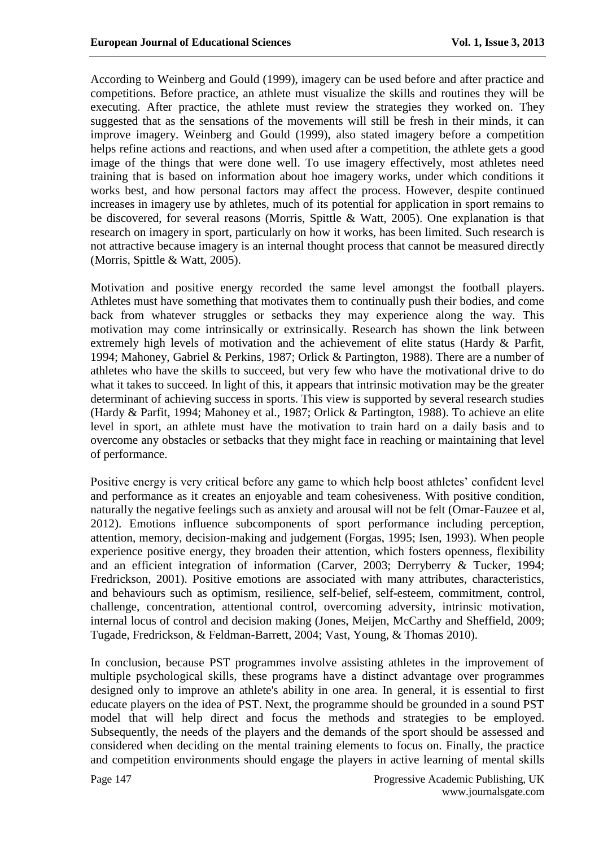According to Weinberg and Gould (1999), imagery can be used before and after practice and competitions. Before practice, an athlete must visualize the skills and routines they will be executing. After practice, the athlete must review the strategies they worked on. They suggested that as the sensations of the movements will still be fresh in their minds, it can improve imagery. Weinberg and Gould (1999), also stated imagery before a competition helps refine actions and reactions, and when used after a competition, the athlete gets a good image of the things that were done well. To use imagery effectively, most athletes need training that is based on information about hoe imagery works, under which conditions it works best, and how personal factors may affect the process. However, despite continued increases in imagery use by athletes, much of its potential for application in sport remains to be discovered, for several reasons (Morris, Spittle & Watt, 2005). One explanation is that research on imagery in sport, particularly on how it works, has been limited. Such research is not attractive because imagery is an internal thought process that cannot be measured directly (Morris, Spittle & Watt, 2005).

Motivation and positive energy recorded the same level amongst the football players. Athletes must have something that motivates them to continually push their bodies, and come back from whatever struggles or setbacks they may experience along the way. This motivation may come intrinsically or extrinsically. Research has shown the link between extremely high levels of motivation and the achievement of elite status (Hardy & Parfit, 1994; Mahoney, Gabriel & Perkins, 1987; Orlick & Partington, 1988). There are a number of athletes who have the skills to succeed, but very few who have the motivational drive to do what it takes to succeed. In light of this, it appears that intrinsic motivation may be the greater determinant of achieving success in sports. This view is supported by several research studies (Hardy & Parfit, 1994; Mahoney et al., 1987; Orlick & Partington, 1988). To achieve an elite level in sport, an athlete must have the motivation to train hard on a daily basis and to overcome any obstacles or setbacks that they might face in reaching or maintaining that level of performance.

Positive energy is very critical before any game to which help boost athletes' confident level and performance as it creates an enjoyable and team cohesiveness. With positive condition, naturally the negative feelings such as anxiety and arousal will not be felt (Omar-Fauzee et al, 2012). Emotions influence subcomponents of sport performance including perception, attention, memory, decision-making and judgement (Forgas, 1995; Isen, 1993). When people experience positive energy, they broaden their attention, which fosters openness, flexibility and an efficient integration of information (Carver, 2003; Derryberry & Tucker, 1994; Fredrickson, 2001). Positive emotions are associated with many attributes, characteristics, and behaviours such as optimism, resilience, self-belief, self-esteem, commitment, control, challenge, concentration, attentional control, overcoming adversity, intrinsic motivation, internal locus of control and decision making (Jones, Meijen, McCarthy and Sheffield, 2009; Tugade, Fredrickson, & Feldman-Barrett, 2004; Vast, Young, & Thomas 2010).

In conclusion, because PST programmes involve assisting athletes in the improvement of multiple psychological skills, these programs have a distinct advantage over programmes designed only to improve an athlete's ability in one area. In general, it is essential to first educate players on the idea of PST. Next, the programme should be grounded in a sound PST model that will help direct and focus the methods and strategies to be employed. Subsequently, the needs of the players and the demands of the sport should be assessed and considered when deciding on the mental training elements to focus on. Finally, the practice and competition environments should engage the players in active learning of mental skills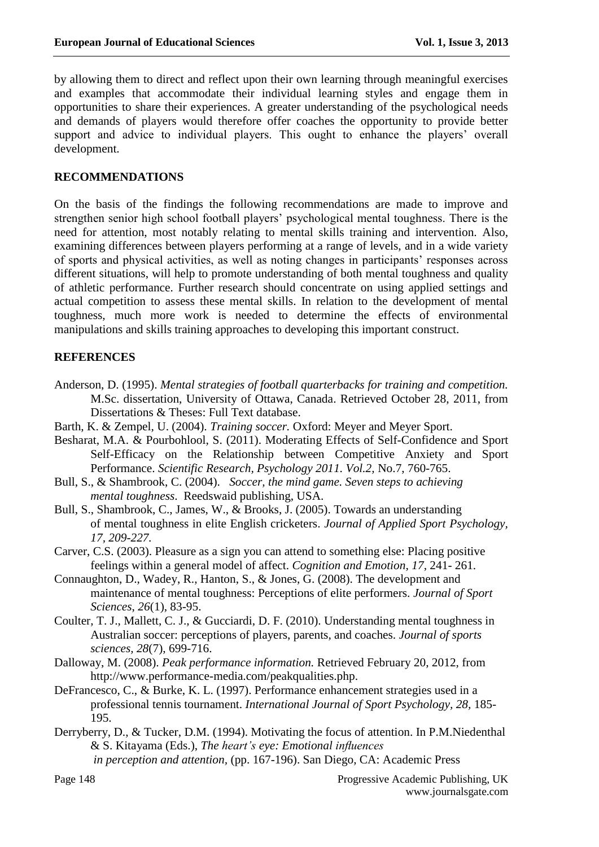by allowing them to direct and reflect upon their own learning through meaningful exercises and examples that accommodate their individual learning styles and engage them in opportunities to share their experiences. A greater understanding of the psychological needs and demands of players would therefore offer coaches the opportunity to provide better support and advice to individual players. This ought to enhance the players' overall development.

### **RECOMMENDATIONS**

On the basis of the findings the following recommendations are made to improve and strengthen senior high school football players' psychological mental toughness. There is the need for attention, most notably relating to mental skills training and intervention. Also, examining differences between players performing at a range of levels, and in a wide variety of sports and physical activities, as well as noting changes in participants' responses across different situations, will help to promote understanding of both mental toughness and quality of athletic performance. Further research should concentrate on using applied settings and actual competition to assess these mental skills. In relation to the development of mental toughness, much more work is needed to determine the effects of environmental manipulations and skills training approaches to developing this important construct.

# **REFERENCES**

- Anderson, D. (1995). *Mental strategies of football quarterbacks for training and competition.* M.Sc. dissertation, University of Ottawa, Canada. Retrieved October 28, 2011, from Dissertations & Theses: Full Text database.
- Barth, K. & Zempel, U. (2004). *Training soccer.* Oxford: Meyer and Meyer Sport.
- Besharat, M.A. & Pourbohlool, S. (2011). Moderating Effects of Self-Confidence and Sport Self-Efficacy on the Relationship between Competitive Anxiety and Sport Performance. *Scientific Research, Psychology 2011. Vol.2,* No.7, 760-765.
- Bull, S., & Shambrook, C. (2004). *Soccer, the mind game. Seven steps to achieving mental toughness*. Reedswaid publishing, USA.
- Bull, S., Shambrook, C., James, W., & Brooks, J. (2005). Towards an understanding of mental toughness in elite English cricketers. *Journal of Applied Sport Psychology, 17, 209-227.*
- Carver, C.S. (2003). Pleasure as a sign you can attend to something else: Placing positive feelings within a general model of affect. *Cognition and Emotion*, *17*, 241- 261.
- Connaughton, D., Wadey, R., Hanton, S., & Jones, G. (2008). The development and maintenance of mental toughness: Perceptions of elite performers. *Journal of Sport Sciences*, *26*(1), 83-95.
- Coulter, T. J., Mallett, C. J., & Gucciardi, D. F. (2010). Understanding mental toughness in Australian soccer: perceptions of players, parents, and coaches. *Journal of sports sciences, 28*(7), 699-716.
- Dalloway, M. (2008). *Peak performance information.* Retrieved February 20, 2012, from [http://www.performance-media.com/peakqualities.php.](http://www.performance-media.com/peakqualities.php)
- DeFrancesco, C., & Burke, K. L. (1997). Performance enhancement strategies used in a professional tennis tournament. *International Journal of Sport Psychology, 28,* 185- 195.
- Derryberry, D., & Tucker, D.M. (1994). Motivating the focus of attention. In P.M.Niedenthal & S. Kitayama (Eds.), *The heart's eye: Emotional influences*

*in perception and attention,* (pp. 167-196). San Diego, CA: Academic Press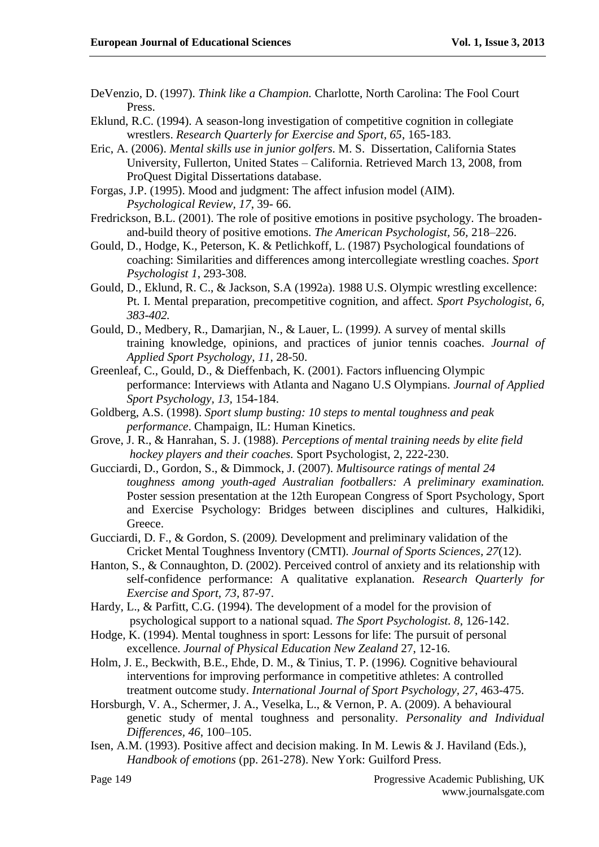- DeVenzio, D. (1997). *Think like a Champion.* Charlotte, North Carolina: The Fool Court Press.
- Eklund, R.C. (1994). A season-long investigation of competitive cognition in collegiate wrestlers. *Research Quarterly for Exercise and Sport, 65*, 165-183.
- Eric, A. (2006). *Mental skills use in junior golfers*. M. S. Dissertation, California States University, Fullerton, United States – California. Retrieved March 13, 2008, from ProQuest Digital Dissertations database.
- Forgas, J.P. (1995). Mood and judgment: The affect infusion model (AIM). *Psychological Review, 17*, 39- 66.
- Fredrickson, B.L. (2001). The role of positive emotions in positive psychology. The broadenand-build theory of positive emotions. *The American Psychologist, 56,* 218–226.
- Gould, D., Hodge, K., Peterson, K. & Petlichkoff, L. (1987) Psychological foundations of coaching: Similarities and differences among intercollegiate wrestling coaches. *Sport Psychologist 1*, 293-308.
- Gould, D., Eklund, R. C., & Jackson, S.A (1992a). 1988 U.S. Olympic wrestling excellence: Pt. I. Mental preparation, precompetitive cognition, and affect*. Sport Psychologist, 6, 383-402.*
- Gould, D., Medbery, R., Damarjian, N., & Lauer, L. (1999*).* A survey of mental skills training knowledge, opinions, and practices of junior tennis coaches. *Journal of Applied Sport Psychology, 11,* 28-50.
- Greenleaf, C., Gould, D., & Dieffenbach, K. (2001). Factors influencing Olympic performance: Interviews with Atlanta and Nagano U.S Olympians. *Journal of Applied Sport Psychology, 13,* 154-184.
- Goldberg, A.S. (1998). *Sport slump busting: 10 steps to mental toughness and peak performance*. Champaign, IL: Human Kinetics.
- Grove, J. R., & Hanrahan, S. J. (1988). *Perceptions of mental training needs by elite field hockey players and their coaches.* Sport Psychologist, 2, 222-230.
- Gucciardi, D., Gordon, S., & Dimmock, J. (2007). *Multisource ratings of mental 24 toughness among youth-aged Australian footballers: A preliminary examination.*  Poster session presentation at the 12th European Congress of Sport Psychology, Sport and Exercise Psychology: Bridges between disciplines and cultures, Halkidiki, Greece.
- Gucciardi, D. F., & Gordon, S. (2009*).* Development and preliminary validation of the Cricket Mental Toughness Inventory (CMTI). *Journal of Sports Sciences, 27*(12).
- Hanton, S., & Connaughton, D. (2002). Perceived control of anxiety and its relationship with self-confidence performance: A qualitative explanation. *Research Quarterly for Exercise and Sport, 73,* 87-97.
- Hardy, L., & Parfitt, C.G. (1994). The development of a model for the provision of psychological support to a national squad. *The Sport Psychologist. 8*, 126-142.
- Hodge, K. (1994). Mental toughness in sport: Lessons for life: The pursuit of personal excellence. *Journal of Physical Education New Zealand* 27, 12-16.
- Holm, J. E., Beckwith, B.E., Ehde, D. M., & Tinius, T. P. (1996*).* Cognitive behavioural interventions for improving performance in competitive athletes: A controlled treatment outcome study. *International Journal of Sport Psychology, 27*, 463-475.
- Horsburgh, V. A., Schermer, J. A., Veselka, L., & Vernon, P. A. (2009). A behavioural genetic study of mental toughness and personality. *Personality and Individual Differences, 46*, 100–105.
- Isen, A.M. (1993). Positive affect and decision making. In M. Lewis & J. Haviland (Eds.), *Handbook of emotions* (pp. 261-278). New York: Guilford Press.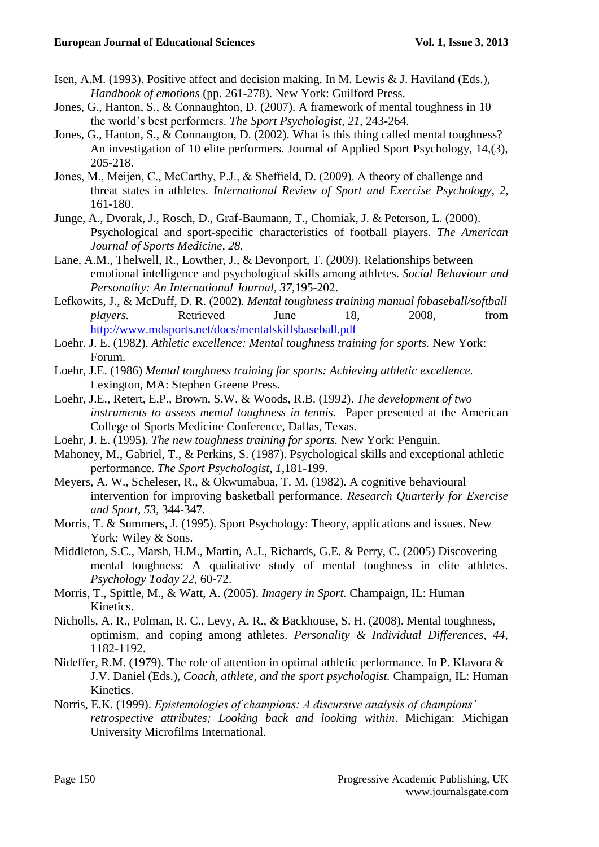- Isen, A.M. (1993). Positive affect and decision making. In M. Lewis & J. Haviland (Eds.), *Handbook of emotions* (pp. 261-278). New York: Guilford Press.
- Jones, G., Hanton, S., & Connaughton, D. (2007). A framework of mental toughness in 10 the world's best performers. *The Sport Psychologist, 21*, 243-264.
- Jones, G., Hanton, S., & Connaugton, D. (2002). What is this thing called mental toughness? An investigation of 10 elite performers. Journal of Applied Sport Psychology, 14,(3), 205-218.
- Jones, M., Meijen, C., McCarthy, P.J., & Sheffield, D. (2009). A theory of challenge and threat states in athletes. *International Review of Sport and Exercise Psychology*, *2*, 161-180.
- Junge, A., Dvorak, J., Rosch, D., Graf-Baumann, T., Chomiak, J. & Peterson, L. (2000). Psychological and sport-specific characteristics of football players. *The American Journal of Sports Medicine, 28.*
- Lane, A.M., Thelwell, R., Lowther, J., & Devonport, T. (2009). Relationships between emotional intelligence and psychological skills among athletes. *Social Behaviour and Personality: An International Journal, 37,*195-202.
- Lefkowits, J., & McDuff, D. R. (2002). *Mental toughness training manual fobaseball/softball players.* Retrieved June 18, 2008, from <http://www.mdsports.net/docs/mentalskillsbaseball.pdf>
- Loehr. J. E. (1982). Athletic excellence: Mental toughness training for sports. New York: Forum.
- Loehr, J.E. (1986) *Mental toughness training for sports: Achieving athletic excellence.*  Lexington, MA: Stephen Greene Press.
- Loehr, J.E., Retert, E.P., Brown, S.W. & Woods, R.B. (1992). *The development of two instruments to assess mental toughness in tennis.* Paper presented at the American College of Sports Medicine Conference, Dallas, Texas.
- Loehr, J. E. (1995). *The new toughness training for sports.* New York: Penguin.
- Mahoney, M., Gabriel, T., & Perkins, S. (1987). Psychological skills and exceptional athletic performance. *The Sport Psychologist, 1*,181-199.
- Meyers, A. W., Scheleser, R., & Okwumabua, T. M. (1982). A cognitive behavioural intervention for improving basketball performance. *Research Quarterly for Exercise and Sport, 53*, 344-347.
- Morris, T. & Summers, J. (1995). Sport Psychology: Theory, applications and issues. New York: Wiley & Sons.
- Middleton, S.C., Marsh, H.M., Martin, A.J., Richards, G.E. & Perry, C. (2005) Discovering mental toughness: A qualitative study of mental toughness in elite athletes. *Psychology Today 22*, 60-72.
- Morris, T., Spittle, M., & Watt, A. (2005). *Imagery in Sport.* Champaign, IL: Human Kinetics.
- Nicholls, A. R., Polman, R. C., Levy, A. R., & Backhouse, S. H. (2008). Mental toughness, optimism, and coping among athletes. *Personality & Individual Differences, 44,* 1182-1192.
- Nideffer, R.M. (1979). The role of attention in optimal athletic performance. In P. Klavora & J.V. Daniel (Eds.), *Coach, athlete, and the sport psychologist.* Champaign, IL: Human Kinetics.
- Norris, E.K. (1999). *Epistemologies of champions: A discursive analysis of champions' retrospective attributes; Looking back and looking within*. Michigan: Michigan University Microfilms International.